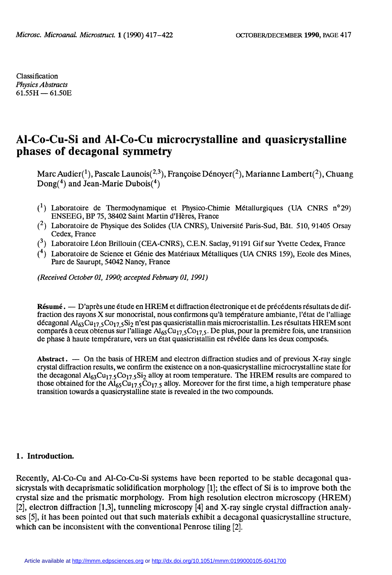Classification Physics Abstracts  $61.55H - 61.50E$ 

# Al-Co-Cu-Si and Al-Co-Cu microcrystalline and quasicrystalline phases of decagonal symmetry

Marc Audier(1), Pascale Launois(2,3), Françoise Dénoyer(2), Marianne Lambert(2), Chuang Dong(4) and Jean-Marie Dubois(4)

- $(1)$  Laboratoire de Thermodynamique et Physico-Chimie Métallurgiques (UA CNRS n°29) ENSEEG, BP 75, 38402 Saint Martin d'Hères, France
- $(2)$  Laboratoire de Physique des Solides (UA CNRS), Université Paris-Sud, Bât. 510, 91405 Orsay Cedex, France
- $(3)$  Laboratoire Léon Brillouin (CEA-CNRS), C.E.N. Saclay, 91191 Gif sur Yvette Cedex, France
- $(4)$  Laboratoire de Science et Génie des Matériaux Métalliques (UA CNRS 159), Ecole des Mines, Parc de Saurupt, 54042 Nancy, France

(Received October 01, 1990; accepted February 01, 1991)

Résumé.  $\sim$  D'après une étude en HREM et diffraction électronique et de précédents résultats de diffraction des rayons X sur monocristal, nous confirmons qu'à température ambiante, l'état de l'alliage décagonal Al<sub>63</sub>Cu<sub>17,5</sub>Co<sub>17,5</sub>Si<sub>2</sub> n'est pas quasicristallin mais microcristallin. Les résultats HREM sont comparés à ceux obtenus sur l'alliage  $Al_{65}Cu_{17.5}CO_{17.5}$ . De plus, pour la première fois, une transition de phase à haute température, vers un état quasicristallin est révélée dans les deux composés.

Abstract.  $\sim$  On the basis of HREM and electron diffraction studies and of previous X-ray single crystal diffraction results, we confirm the existence on a non-quasicrystalline microcrystalline state for the decagonal  $Al_{63}Cu_{17.5}Co_{17.5}Si_2$  alloy at room temperature. The HREM results are compared to those obtained for the  $\text{Al}_{65}\text{Cu}_{17.5}\text{Co}_{17.5}$  alloy. Moreover for the first time, a high temperature phase transition towards a quasicrystalline state is revealed in the two compounds.

#### 1. Introduction.

Recently, Al-Co-Cu and Al-Co-Cu-Si systems have been reported to be stable decagonal quasicrystals with decaprismatic solidification morphology [1]; the effect of Si is to improve both the crystal size and the prismatic morphology. From high resolution electron microscopy (HREM) [2], electron diffraction [1,3], tunneling microscopy [4] and X-ray single crystal diffraction analy ses [5], it has been pointed out that such materials exhibit a decagonal quasicrystalline structure, which can be inconsistent with the conventional Penrose tiling [2].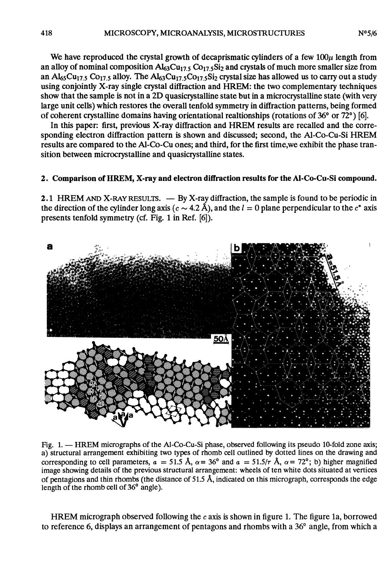We have reproduced the crystal growth of decaprismatic cylinders of a few  $100\mu$  length from an alloy of nominal composition  $Al_{63}Cu_{17.5}CO_{17.5}Si_2$  and crystals of much more smaller size from an  $A_{65}Cu_{17.5}CO_{17.5}$  alloy. The  $A_{63}Cu_{17.5}CO_{17.5}Si_2$  crystal size has allowed us to carry out a study using conjointly X-ray single crystal diffraction and HREM: the two complementary techniques show that the sample is not in a 2D quasicrystalline state but in a microcrystalline state (with very large unit cells) which restores the overall tenfold symmetry in diffraction patterns, being formed of coherent crystalline domains having orientational realtionships (rotations of 36° or 72°) [6].

In this paper: first, previous X-ray diffraction and HREM results are recalled and the corresponding electron diffraction pattern is shown and discussed; second, the Al-Co-Cu-Si HREM results are compared to the Al-Co-Cu ones; and third, for the first time,we exhibit the phase transition between microcrystalline and quasicrystalline states.

#### 2. Comparison of HREM, X-ray and électron diffraction results for the Al-Co-Cu-Si compound.

2.1 HREM AND X-RAY RESULTS. — By X-ray diffraction, the sample is found to be periodic in the direction of the cylinder long axis ( $c \sim 4.2$  Å), and the  $l = 0$  plane perpendicular to the  $c^*$  axis presents tenfold symmetry (cf. Fig. 1 in Ref. [6]).



Fig. 1. - HREM micrographs of the Al-Co-Cu-Si phase, observed following its pseudo 10-fold zone axis; a) structural arrangement exhibiting two types of rhomb cell outlined by dotted lines on the drawing and corresponding to cell parameters,  $a = 51.5 \text{ Å}$ ,  $\alpha = 36^{\circ}$  and  $a = 51.5/\tau \text{ Å}$ ,  $\alpha = 72^{\circ}$ ; b) higher magnified image showing details of the previous structural arrangement: wheels of ten white dots situated at vertices of pentagions and thin rhombs (the distance of 51.5 Â, indicated on this micrograph, corresponds the edge length of the rhomb cell of 36° angle).

HREM micrograph observed following the  $c$  axis is shown in figure 1. The figure 1a, borrowed to reference 6, displays an arrangement of pentagons and rhombs with a 36° angle, from which a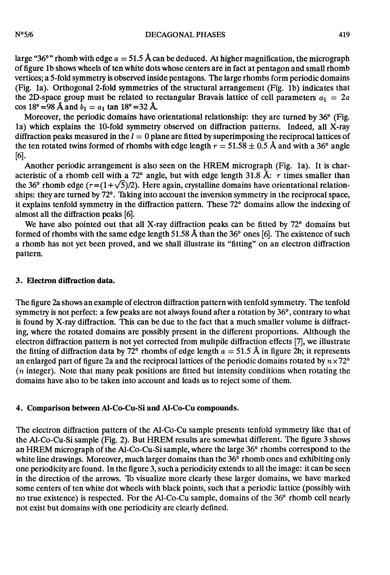large "36°" rhomb with edge  $a = 51.5$  Å can be deduced. At higher magnification, the micrograph of figure lb shows wheels of ten white dots whose centers are in fact at pentagon and small rhomb vertices; a 5-fold symmetry is observed inside pentagons. The large rhombs form periodic domains (Fig. la). Orthogonal 2-fold symmetries of the structural arrangement (Fig. Ib) indicates that the 2D-space group must be related to rectangular Bravais lattice of cell parameters  $a_1 = 2a$ cos 18° = 98 Å and  $b_1 = a_1$  tan 18° = 32 Å.

Moreover, the periodic domains have orientational relationship: they are turned by 36<sup>°</sup> (Fig. la) which explains the 10-fold symmetry observed on diffraction patterns. Indeed, all X-ray diffraction peaks measured in the  $l = 0$  plane are fitted by superimposing the reciprocal lattices of the ten rotated twins formed of rhombs with edge length  $r = 51.58 \pm 0.5$  Å and with a 36° angle [6].

Another periodic arrangement is also seen on the HREM micrograph (Fig. la). It is characteristic of a rhomb cell with a 72° angle, but with edge length 31.8 Å:  $\tau$  times smaller than the 36° rhomb edge ( $\tau = (1+\sqrt{5})/2$ ). Here again, crystalline domains have orientational relationships: they are turned by 72°. Taking into account the inversion symmetry in the reciprocal space, it explains tenfold symmetry in the diffraction pattern. These 72° domains allow the indexing of almost all the diffraction peaks [6].

We have also pointed out that all X-ray diffraction peaks can be fitted by  $72^{\circ}$  domains but formed of rhombs with the same edge length 51.58 A than the 36° ones [6]. The existence of such a rhomb has not yet been proved, and we shall illustrate its "fitting" on an electron diffraction pattern.

#### 3. Electron diffraction data.

The figure 2a shows an example of electron diffraction pattern with tenfold symmetry. The tenfold symmetry is not perfect: a few peaks are not always found after a rotation by 36°, contrary to what is found by X-ray diffraction. This can be due to the fact that a much smaller volume is diffracting, where the rotated domains are possibly present in the different proportions. Although the electron diffraction pattern is not yet corrected from multpile diffraction effects [7], we illustrate the fitting of diffraction data by 72° rhombs of edge length  $a = 51.5 \text{ Å}$  in figure 2b; it represents an enlarged part of figure 2a and the reciprocal lattices of the periodic domains rotated by  $n \times 72^{\circ}$ (n integer). Note that many peak positions are fitted but intensity conditions when rotating the domains have also to be taken into account and leads us to reject some of them.

## 4. Comparison between AI-Co-Cu-Si and Al-Co-Cu compounds.

The electron diffraction pattern of the Al-Co-Cu sample presents tenfold symmetry like that of the Al-Co-Cu-Si sample (Fig. 2). But HREM results are somewhat different. The figure 3 shows an HREM micrograph of the Al-Co-Cu-Si sample, where the large 36° rhombs correspond to the white line drawings. Moreover, much larger domains than the 36° rhomb ones and exhibiting only one periodicity are found. In the figure 3, such a periodicity extends to all the image: it can be seen in the direction of the arrows. To visualize more clearly these larger domains, we have marked some centers of ten white dot wheels with black points, such that a periodic lattice (possibly with no true existence) is respected. For the Al-Co-Cu sample, domains of the 36° rhomb cell nearly not exist but domains with one periodicity are clearly defined.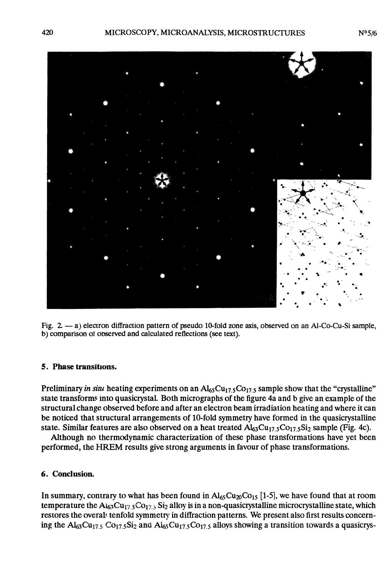

Fig. 2. - a) electron diffraction pattern of pseudo 10-fold zone axis, observed on an Al-Co-Cu-Si sample, b) comparison of ooserved and calculated reflections (see text).

## 5. Phase transitions.

Preliminary in situ heating experiments on an  $Al_{65}Cu_{17.5}Co_{17.5}$  sample show that the "crystalline" state transforms into quasicrystal. Both micrographs of the figure 4a and b give an example of the structural change observed before and after an electron beam irradiation heating and where it can be noticed that structural arrangements of 10-fold symmetry have formed in the quasicrystalline state. Similar features are also observed on a heat treated  $Al_{63}Cu_{17.5}Co_{17.5}Si_2$  sample (Fig. 4c).

Although no thermodynamic characterization of these phase transformations have yet been performed, the HREM results give strong arguments in favour of phase transformations.

## 6. Conclusion.

In summary, contrary to what has been found in  $\text{Al}_{65}\text{Cu}_{20}\text{Co}_{15}$  [1-5], we have found that at room temperature the  $A_{163}Cu_{17.5}Co_{17.5}Si_2$  alloy is in a non-quasicrystalline microcrystalline state, which restores the overal tenfold symmetry in diffraction patterns. We present also first results concerning the  $Al_{63}Cu_{17.5}Co_{17.5}Si_2$  and  $Al_{65}Cu_{17.5}Co_{17.5}$  alloys showing a transition towards a quasicrys-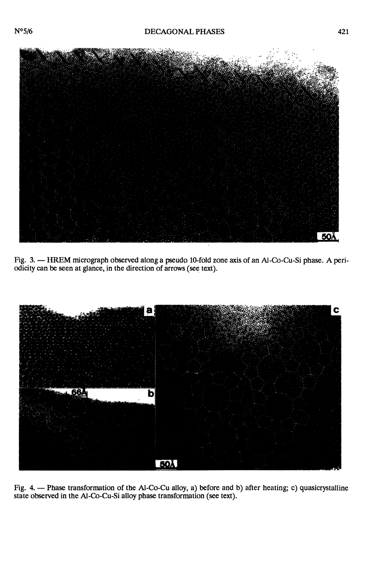

Fig. 3. - HREM micrograph observed along a pseudo 10-fold zone axis of an Al-Co-Cu-Si phase. A periodicity can be seen at glance, in the direction of arrows (see text).



Fig. 4. - Phase transformation of the Al-Co-Cu alloy, a) before and b) after heating; c) quasicrystalline state observed in the Al-Co-Cu-Si alloy phase transformation (see text).